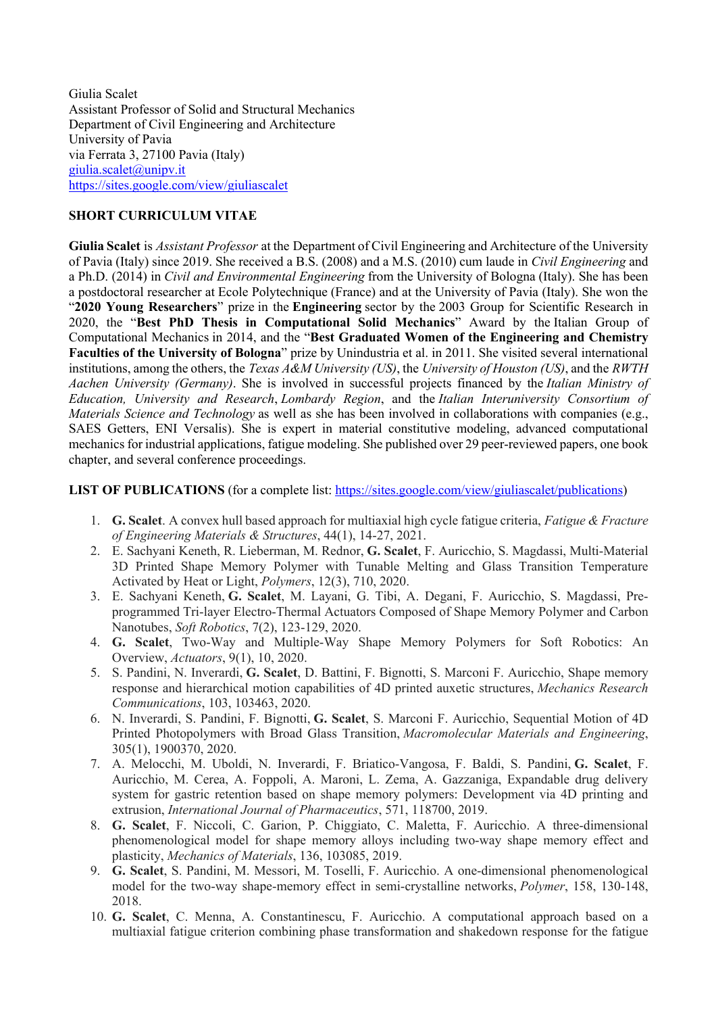Giulia Scalet Assistant Professor of Solid and Structural Mechanics Department of Civil Engineering and Architecture University of Pavia via Ferrata 3, 27100 Pavia (Italy) giulia.scalet@unipv.it https://sites.google.com/view/giuliascalet

## **SHORT CURRICULUM VITAE**

**Giulia Scalet** is *Assistant Professor* at the Department of Civil Engineering and Architecture of the University of Pavia (Italy) since 2019. She received a B.S. (2008) and a M.S. (2010) cum laude in *Civil Engineering* and a Ph.D. (2014) in *Civil and Environmental Engineering* from the University of Bologna (Italy). She has been a postdoctoral researcher at Ecole Polytechnique (France) and at the University of Pavia (Italy). She won the "**2020 Young Researchers**" prize in the **Engineering** sector by the 2003 Group for Scientific Research in 2020, the "**Best PhD Thesis in Computational Solid Mechanics**" Award by the Italian Group of Computational Mechanics in 2014, and the "**Best Graduated Women of the Engineering and Chemistry Faculties of the University of Bologna**" prize by Unindustria et al. in 2011. She visited several international institutions, among the others, the *Texas A&M University (US)*, the *University of Houston (US)*, and the *RWTH Aachen University (Germany)*. She is involved in successful projects financed by the *Italian Ministry of Education, University and Research*, *Lombardy Region*, and the *Italian Interuniversity Consortium of Materials Science and Technology* as well as she has been involved in collaborations with companies (e.g., SAES Getters, ENI Versalis). She is expert in material constitutive modeling, advanced computational mechanics for industrial applications, fatigue modeling. She published over 29 peer-reviewed papers, one book chapter, and several conference proceedings.

## **LIST OF PUBLICATIONS** (for a complete list: https://sites.google.com/view/giuliascalet/publications)

- 1. **G. Scalet**. A convex hull based approach for multiaxial high cycle fatigue criteria, *Fatigue & Fracture of Engineering Materials & Structures*, 44(1), 14-27, 2021.
- 2. E. Sachyani Keneth, R. Lieberman, M. Rednor, **G. Scalet**, F. Auricchio, S. Magdassi, Multi-Material 3D Printed Shape Memory Polymer with Tunable Melting and Glass Transition Temperature Activated by Heat or Light, *Polymers*, 12(3), 710, 2020.
- 3. E. Sachyani Keneth, **G. Scalet**, M. Layani, G. Tibi, A. Degani, F. Auricchio, S. Magdassi, Preprogrammed Tri-layer Electro-Thermal Actuators Composed of Shape Memory Polymer and Carbon Nanotubes, *Soft Robotics*, 7(2), 123-129, 2020.
- 4. **G. Scalet**, Two-Way and Multiple-Way Shape Memory Polymers for Soft Robotics: An Overview, *Actuators*, 9(1), 10, 2020.
- 5. S. Pandini, N. Inverardi, **G. Scalet**, D. Battini, F. Bignotti, S. Marconi F. Auricchio, Shape memory response and hierarchical motion capabilities of 4D printed auxetic structures, *Mechanics Research Communications*, 103, 103463, 2020.
- 6. N. Inverardi, S. Pandini, F. Bignotti, **G. Scalet**, S. Marconi F. Auricchio, Sequential Motion of 4D Printed Photopolymers with Broad Glass Transition, *Macromolecular Materials and Engineering*, 305(1), 1900370, 2020.
- 7. A. Melocchi, M. Uboldi, N. Inverardi, F. Briatico-Vangosa, F. Baldi, S. Pandini, **G. Scalet**, F. Auricchio, M. Cerea, A. Foppoli, A. Maroni, L. Zema, A. Gazzaniga, Expandable drug delivery system for gastric retention based on shape memory polymers: Development via 4D printing and extrusion, *International Journal of Pharmaceutics*, 571, 118700, 2019.
- 8. **G. Scalet**, F. Niccoli, C. Garion, P. Chiggiato, C. Maletta, F. Auricchio. A three-dimensional phenomenological model for shape memory alloys including two-way shape memory effect and plasticity, *Mechanics of Materials*, 136, 103085, 2019.
- 9. **G. Scalet**, S. Pandini, M. Messori, M. Toselli, F. Auricchio. A one-dimensional phenomenological model for the two-way shape-memory effect in semi-crystalline networks, *Polymer*, 158, 130-148, 2018.
- 10. **G. Scalet**, C. Menna, A. Constantinescu, F. Auricchio. A computational approach based on a multiaxial fatigue criterion combining phase transformation and shakedown response for the fatigue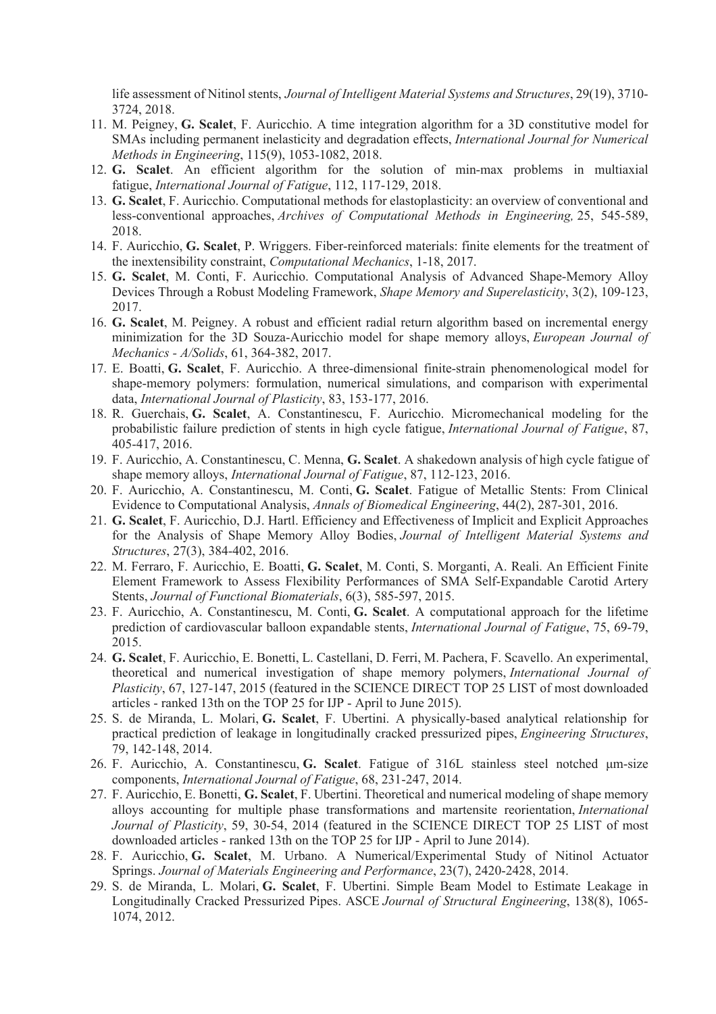life assessment of Nitinol stents, *Journal of Intelligent Material Systems and Structures*, 29(19), 3710- 3724, 2018.

- 11. M. Peigney, **G. Scalet**, F. Auricchio. A time integration algorithm for a 3D constitutive model for SMAs including permanent inelasticity and degradation effects, *International Journal for Numerical Methods in Engineering*, 115(9), 1053-1082, 2018.
- 12. **G. Scalet**. An efficient algorithm for the solution of min-max problems in multiaxial fatigue, *International Journal of Fatigue*, 112, 117-129, 2018.
- 13. **G. Scalet**, F. Auricchio. Computational methods for elastoplasticity: an overview of conventional and less-conventional approaches, *Archives of Computational Methods in Engineering,* 25, 545-589, 2018.
- 14. F. Auricchio, **G. Scalet**, P. Wriggers. Fiber-reinforced materials: finite elements for the treatment of the inextensibility constraint, *Computational Mechanics*, 1-18, 2017.
- 15. **G. Scalet**, M. Conti, F. Auricchio. Computational Analysis of Advanced Shape-Memory Alloy Devices Through a Robust Modeling Framework, *Shape Memory and Superelasticity*, 3(2), 109-123, 2017.
- 16. **G. Scalet**, M. Peigney. A robust and efficient radial return algorithm based on incremental energy minimization for the 3D Souza-Auricchio model for shape memory alloys, *European Journal of Mechanics - A/Solids*, 61, 364-382, 2017.
- 17. E. Boatti, **G. Scalet**, F. Auricchio. A three-dimensional finite-strain phenomenological model for shape-memory polymers: formulation, numerical simulations, and comparison with experimental data, *International Journal of Plasticity*, 83, 153-177, 2016.
- 18. R. Guerchais, **G. Scalet**, A. Constantinescu, F. Auricchio. Micromechanical modeling for the probabilistic failure prediction of stents in high cycle fatigue, *International Journal of Fatigue*, 87, 405-417, 2016.
- 19. F. Auricchio, A. Constantinescu, C. Menna, **G. Scalet**. A shakedown analysis of high cycle fatigue of shape memory alloys, *International Journal of Fatigue*, 87, 112-123, 2016.
- 20. F. Auricchio, A. Constantinescu, M. Conti, **G. Scalet**. Fatigue of Metallic Stents: From Clinical Evidence to Computational Analysis, *Annals of Biomedical Engineering*, 44(2), 287-301, 2016.
- 21. **G. Scalet**, F. Auricchio, D.J. Hartl. Efficiency and Effectiveness of Implicit and Explicit Approaches for the Analysis of Shape Memory Alloy Bodies, *Journal of Intelligent Material Systems and Structures*, 27(3), 384-402, 2016.
- 22. M. Ferraro, F. Auricchio, E. Boatti, **G. Scalet**, M. Conti, S. Morganti, A. Reali. An Efficient Finite Element Framework to Assess Flexibility Performances of SMA Self-Expandable Carotid Artery Stents, *Journal of Functional Biomaterials*, 6(3), 585-597, 2015.
- 23. F. Auricchio, A. Constantinescu, M. Conti, **G. Scalet**. A computational approach for the lifetime prediction of cardiovascular balloon expandable stents, *International Journal of Fatigue*, 75, 69-79, 2015.
- 24. **G. Scalet**, F. Auricchio, E. Bonetti, L. Castellani, D. Ferri, M. Pachera, F. Scavello. An experimental, theoretical and numerical investigation of shape memory polymers, *International Journal of Plasticity*, 67, 127-147, 2015 (featured in the SCIENCE DIRECT TOP 25 LIST of most downloaded articles - ranked 13th on the TOP 25 for IJP - April to June 2015).
- 25. S. de Miranda, L. Molari, **G. Scalet**, F. Ubertini. A physically-based analytical relationship for practical prediction of leakage in longitudinally cracked pressurized pipes, *Engineering Structures*, 79, 142-148, 2014.
- 26. F. Auricchio, A. Constantinescu, **G. Scalet**. Fatigue of 316L stainless steel notched μm-size components, *International Journal of Fatigue*, 68, 231-247, 2014.
- 27. F. Auricchio, E. Bonetti, **G. Scalet**, F. Ubertini. Theoretical and numerical modeling of shape memory alloys accounting for multiple phase transformations and martensite reorientation, *International Journal of Plasticity*, 59, 30-54, 2014 (featured in the SCIENCE DIRECT TOP 25 LIST of most downloaded articles - ranked 13th on the TOP 25 for IJP - April to June 2014).
- 28. F. Auricchio, **G. Scalet**, M. Urbano. A Numerical/Experimental Study of Nitinol Actuator Springs. *Journal of Materials Engineering and Performance*, 23(7), 2420-2428, 2014.
- 29. S. de Miranda, L. Molari, **G. Scalet**, F. Ubertini. Simple Beam Model to Estimate Leakage in Longitudinally Cracked Pressurized Pipes. ASCE *Journal of Structural Engineering*, 138(8), 1065- 1074, 2012.